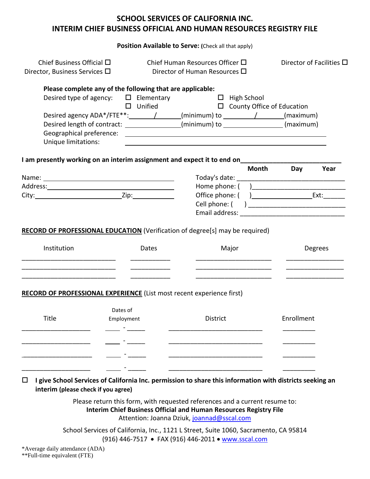|                                                                            |                                                                                                                                | Position Available to Serve: (Check all that apply)                                                                                                                                                                                        |                                  |
|----------------------------------------------------------------------------|--------------------------------------------------------------------------------------------------------------------------------|--------------------------------------------------------------------------------------------------------------------------------------------------------------------------------------------------------------------------------------------|----------------------------------|
| Chief Business Official $\square$<br>Director, Business Services $\square$ |                                                                                                                                | Chief Human Resources Officer $\square$<br>Director of Human Resources □                                                                                                                                                                   | Director of Facilities $\square$ |
|                                                                            | Please complete any of the following that are applicable:<br>Desired type of agency: $\square$ Elementary<br>$\square$ Unified | $\Box$ High School<br>$\Box$ County Office of Education                                                                                                                                                                                    |                                  |
| Geographical preference:<br>Unique limitations:                            |                                                                                                                                | Desired agency ADA*/FTE**: $\angle$ / $\angle$ (minimum) to $\angle$ / $\angle$ (maximum)<br>Desired length of contract: _______________(minimum) to ________________(maximum)<br><u> 1980 - Andrea Aonaichte ann an Comhair ann an t-</u> |                                  |
|                                                                            |                                                                                                                                | I am presently working on an interim assignment and expect it to end on                                                                                                                                                                    |                                  |
|                                                                            |                                                                                                                                | <b>Month</b>                                                                                                                                                                                                                               | Day<br>Year                      |
|                                                                            |                                                                                                                                |                                                                                                                                                                                                                                            |                                  |
|                                                                            |                                                                                                                                |                                                                                                                                                                                                                                            |                                  |
|                                                                            |                                                                                                                                | Cell phone: (                                                                                                                                                                                                                              |                                  |
|                                                                            |                                                                                                                                | RECORD OF PROFESSIONAL EDUCATION (Verification of degree[s] may be required)                                                                                                                                                               |                                  |
| Institution                                                                | Dates                                                                                                                          | Major                                                                                                                                                                                                                                      | Degrees                          |
|                                                                            |                                                                                                                                | RECORD OF PROFESSIONAL EXPERIENCE (List most recent experience first)                                                                                                                                                                      |                                  |
| Title                                                                      | Dates of<br>Employment                                                                                                         | <b>District</b>                                                                                                                                                                                                                            | Enrollment                       |
|                                                                            |                                                                                                                                |                                                                                                                                                                                                                                            |                                  |
|                                                                            |                                                                                                                                |                                                                                                                                                                                                                                            |                                  |
| _______________________________                                            |                                                                                                                                |                                                                                                                                                                                                                                            |                                  |
|                                                                            |                                                                                                                                | <u> 1980 - Jan James James Jan James James Jan James James Jan James James Jan James James Jan Jan James James J</u>                                                                                                                       |                                  |

School Services of California, Inc., 1121 L Street, Suite 1060, Sacramento, CA 95814 (916) 446-7517 • FAX (916) 446-2011 • [www.sscal.com](http://www.sscal.com/)